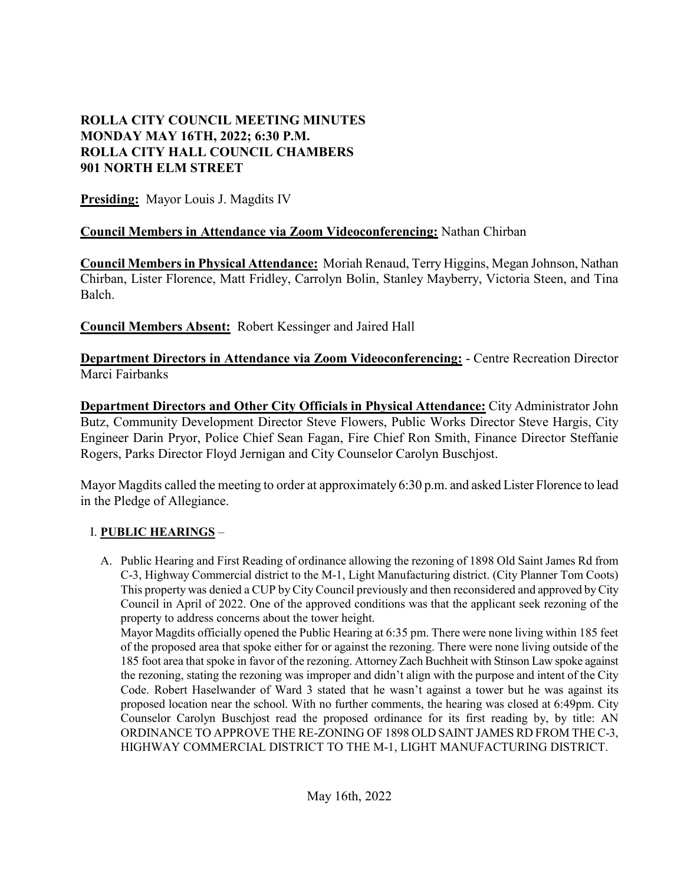#### **ROLLA CITY COUNCIL MEETING MINUTES MONDAY MAY 16TH, 2022; 6:30 P.M. ROLLA CITY HALL COUNCIL CHAMBERS 901 NORTH ELM STREET**

**Presiding:** Mayor Louis J. Magdits IV

## **Council Members in Attendance via Zoom Videoconferencing:** Nathan Chirban

**Council Members in Physical Attendance:** Moriah Renaud, Terry Higgins, Megan Johnson, Nathan Chirban, Lister Florence, Matt Fridley, Carrolyn Bolin, Stanley Mayberry, Victoria Steen, and Tina Balch.

**Council Members Absent:** Robert Kessinger and Jaired Hall

**Department Directors in Attendance via Zoom Videoconferencing:** - Centre Recreation Director Marci Fairbanks

**Department Directors and Other City Officials in Physical Attendance:** City Administrator John Butz, Community Development Director Steve Flowers, Public Works Director Steve Hargis, City Engineer Darin Pryor, Police Chief Sean Fagan, Fire Chief Ron Smith, Finance Director Steffanie Rogers, Parks Director Floyd Jernigan and City Counselor Carolyn Buschjost.

Mayor Magdits called the meeting to order at approximately 6:30 p.m. and asked Lister Florence to lead in the Pledge of Allegiance.

## I. **PUBLIC HEARINGS** –

A. Public Hearing and First Reading of ordinance allowing the rezoning of 1898 Old Saint James Rd from C-3, Highway Commercial district to the M-1, Light Manufacturing district. (City Planner Tom Coots) This property was denied a CUP by City Council previously and then reconsidered and approved by City Council in April of 2022. One of the approved conditions was that the applicant seek rezoning of the property to address concerns about the tower height.

Mayor Magdits officially opened the Public Hearing at 6:35 pm. There were none living within 185 feet of the proposed area that spoke either for or against the rezoning. There were none living outside of the 185 foot area that spoke in favor of the rezoning. Attorney Zach Buchheit with Stinson Law spoke against the rezoning, stating the rezoning was improper and didn't align with the purpose and intent of the City Code. Robert Haselwander of Ward 3 stated that he wasn't against a tower but he was against its proposed location near the school. With no further comments, the hearing was closed at 6:49pm. City Counselor Carolyn Buschjost read the proposed ordinance for its first reading by, by title: AN ORDINANCE TO APPROVE THE RE-ZONING OF 1898 OLD SAINT JAMES RD FROM THE C-3, HIGHWAY COMMERCIAL DISTRICT TO THE M-1, LIGHT MANUFACTURING DISTRICT.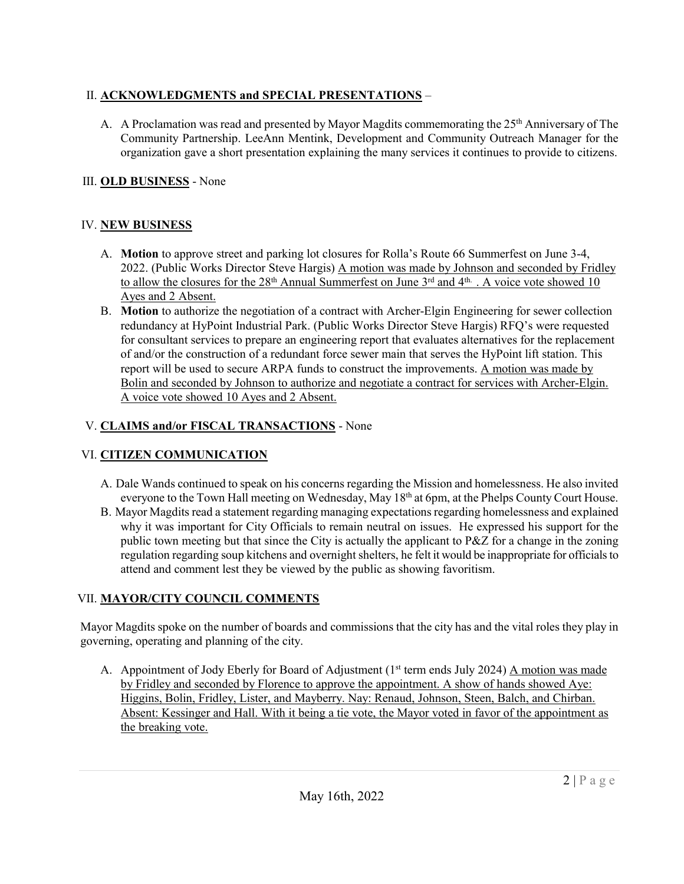#### II. **ACKNOWLEDGMENTS and SPECIAL PRESENTATIONS** –

A. A Proclamation was read and presented by Mayor Magdits commemorating the 25<sup>th</sup> Anniversary of The Community Partnership. LeeAnn Mentink, Development and Community Outreach Manager for the organization gave a short presentation explaining the many services it continues to provide to citizens.

#### III. **OLD BUSINESS** - None

## IV. **NEW BUSINESS**

- A. **Motion** to approve street and parking lot closures for Rolla's Route 66 Summerfest on June 3-4, 2022. (Public Works Director Steve Hargis) A motion was made by Johnson and seconded by Fridley to allow the closures for the 28<sup>th</sup> Annual Summerfest on June 3<sup>rd</sup> and 4<sup>th</sup>. A voice vote showed 10 Ayes and 2 Absent.
- B. **Motion** to authorize the negotiation of a contract with Archer-Elgin Engineering for sewer collection redundancy at HyPoint Industrial Park. (Public Works Director Steve Hargis) RFQ's were requested for consultant services to prepare an engineering report that evaluates alternatives for the replacement of and/or the construction of a redundant force sewer main that serves the HyPoint lift station. This report will be used to secure ARPA funds to construct the improvements. A motion was made by Bolin and seconded by Johnson to authorize and negotiate a contract for services with Archer-Elgin. A voice vote showed 10 Ayes and 2 Absent.

## V. **CLAIMS and/or FISCAL TRANSACTIONS** - None

# VI. **CITIZEN COMMUNICATION**

- A. Dale Wands continued to speak on his concerns regarding the Mission and homelessness. He also invited everyone to the Town Hall meeting on Wednesday, May 18<sup>th</sup> at 6pm, at the Phelps County Court House.
- B. Mayor Magdits read a statement regarding managing expectations regarding homelessness and explained why it was important for City Officials to remain neutral on issues. He expressed his support for the public town meeting but that since the City is actually the applicant to P&Z for a change in the zoning regulation regarding soup kitchens and overnight shelters, he felt it would be inappropriate for officials to attend and comment lest they be viewed by the public as showing favoritism.

## VII. **MAYOR/CITY COUNCIL COMMENTS**

Mayor Magdits spoke on the number of boards and commissions that the city has and the vital roles they play in governing, operating and planning of the city.

A. Appointment of Jody Eberly for Board of Adjustment  $(1<sup>st</sup> term ends July 2024)$  A motion was made by Fridley and seconded by Florence to approve the appointment. A show of hands showed Aye: Higgins, Bolin, Fridley, Lister, and Mayberry. Nay: Renaud, Johnson, Steen, Balch, and Chirban. Absent: Kessinger and Hall. With it being a tie vote, the Mayor voted in favor of the appointment as the breaking vote.